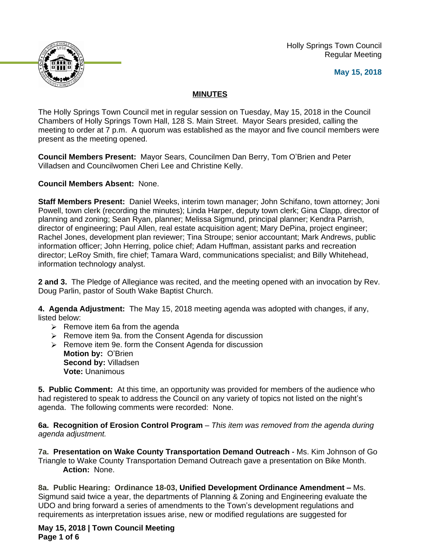Holly Springs Town Council Regular Meeting





## **MINUTES**

The Holly Springs Town Council met in regular session on Tuesday, May 15, 2018 in the Council Chambers of Holly Springs Town Hall, 128 S. Main Street. Mayor Sears presided, calling the meeting to order at 7 p.m. A quorum was established as the mayor and five council members were present as the meeting opened.

**Council Members Present:** Mayor Sears, Councilmen Dan Berry, Tom O'Brien and Peter Villadsen and Councilwomen Cheri Lee and Christine Kelly.

**Council Members Absent:** None.

**Staff Members Present:** Daniel Weeks, interim town manager; John Schifano, town attorney; Joni Powell, town clerk (recording the minutes); Linda Harper, deputy town clerk; Gina Clapp, director of planning and zoning; Sean Ryan, planner; Melissa Sigmund, principal planner; Kendra Parrish, director of engineering; Paul Allen, real estate acquisition agent; Mary DePina, project engineer; Rachel Jones, development plan reviewer; Tina Stroupe; senior accountant; Mark Andrews, public information officer; John Herring, police chief; Adam Huffman, assistant parks and recreation director; LeRoy Smith, fire chief; Tamara Ward, communications specialist; and Billy Whitehead, information technology analyst.

**2 and 3.** The Pledge of Allegiance was recited, and the meeting opened with an invocation by Rev. Doug Parlin, pastor of South Wake Baptist Church.

**4. Agenda Adjustment:** The May 15, 2018 meeting agenda was adopted with changes, if any, listed below:

- $\triangleright$  Remove item 6a from the agenda
- $\triangleright$  Remove item 9a. from the Consent Agenda for discussion
- $\triangleright$  Remove item 9e. form the Consent Agenda for discussion **Motion by:** O'Brien **Second by:** Villadsen **Vote:** Unanimous

**5. Public Comment:** At this time, an opportunity was provided for members of the audience who had registered to speak to address the Council on any variety of topics not listed on the night's agenda. The following comments were recorded: None.

**6a. Recognition of Erosion Control Program** – *This item was removed from the agenda during agenda adjustment.*

**7a. Presentation on Wake County Transportation Demand Outreach -** Ms. Kim Johnson of Go Triangle to Wake County Transportation Demand Outreach gave a presentation on Bike Month. **Action:** None.

**8a. Public Hearing: Ordinance 18-03, Unified Development Ordinance Amendment –** Ms. Sigmund said twice a year, the departments of Planning & Zoning and Engineering evaluate the UDO and bring forward a series of amendments to the Town's development regulations and requirements as interpretation issues arise, new or modified regulations are suggested for

**May 15, 2018 | Town Council Meeting Page 1 of 6**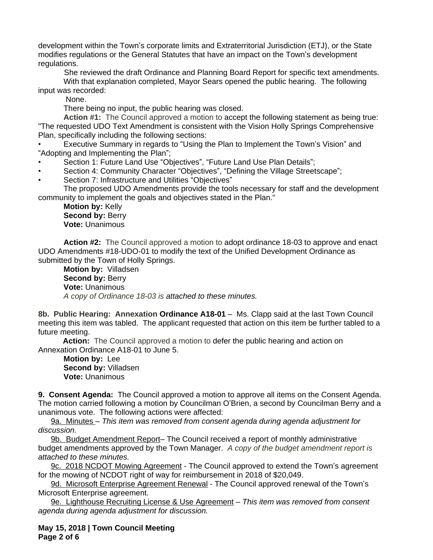development within the Town's corporate limits and Extraterritorial Jurisdiction (ETJ), or the State modifies regulations or the General Statutes that have an impact on the Town's development regulations.

 She reviewed the draft Ordinance and Planning Board Report for specific text amendments. With that explanation completed, Mayor Sears opened the public hearing. The following input was recorded:

None.

There being no input, the public hearing was closed.

**Action #1:** The Council approved a motion to accept the following statement as being true: "The requested UDO Text Amendment is consistent with the Vision Holly Springs Comprehensive Plan, specifically including the following sections:

• Executive Summary in regards to "Using the Plan to Implement the Town's Vision" and "Adopting and Implementing the Plan";

- Section 1: Future Land Use "Objectives", "Future Land Use Plan Details";
- Section 4: Community Character "Objectives", "Defining the Village Streetscape";
- Section 7: Infrastructure and Utilities "Objectives"

The proposed UDO Amendments provide the tools necessary for staff and the development community to implement the goals and objectives stated in the Plan."

**Motion by:** Kelly **Second by: Berry Vote:** Unanimous

**Action #2:** The Council approved a motion to adopt ordinance 18-03 to approve and enact UDO Amendments #18-UDO-01 to modify the text of the Unified Development Ordinance as submitted by the Town of Holly Springs.

**Motion by:** Villadsen **Second by: Berry Vote:** Unanimous *A copy of Ordinance 18-03 is attached to these minutes.*

**8b. Public Hearing: Annexation Ordinance A18-01** – Ms. Clapp said at the last Town Council meeting this item was tabled. The applicant requested that action on this item be further tabled to a future meeting.

**Action:** The Council approved a motion to defer the public hearing and action on Annexation Ordinance A18-01 to June 5.

**Motion by:** Lee **Second by:** Villadsen **Vote:** Unanimous

**9. Consent Agenda:** The Council approved a motion to approve all items on the Consent Agenda. The motion carried following a motion by Councilman O'Brien, a second by Councilman Berry and a unanimous vote. The following actions were affected:

9a. Minutes – *This item was removed from consent agenda during agenda adjustment for discussion.*

9b. Budget Amendment Report- The Council received a report of monthly administrative budget amendments approved by the Town Manager. *A copy of the budget amendment report is attached to these minutes.*

9c. 2018 NCDOT Mowing Agreement - The Council approved to extend the Town's agreement for the mowing of NCDOT right of way for reimbursement in 2018 of \$20,049.

9d. Microsoft Enterprise Agreement Renewal - The Council approved renewal of the Town's Microsoft Enterprise agreement.

9e. Lighthouse Recruiting License & Use Agreement – *This item was removed from consent agenda during agenda adjustment for discussion.*

**May 15, 2018 | Town Council Meeting Page 2 of 6**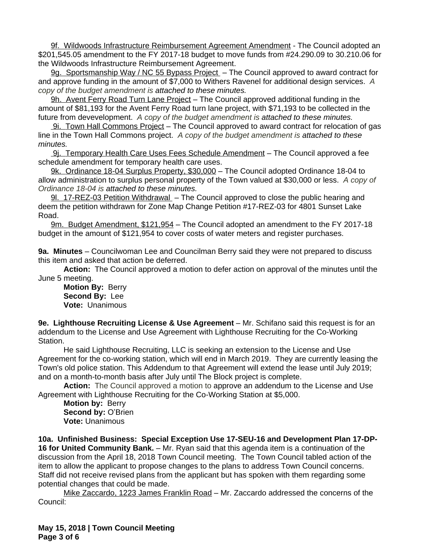9f. Wildwoods Infrastructure Reimbursement Agreement Amendment - The Council adopted an \$201,545.05 amendment to the FY 2017-18 budget to move funds from #24.290.09 to 30.210.06 for the Wildwoods Infrastructure Reimbursement Agreement.

9g. Sportsmanship Way / NC 55 Bypass Project – The Council approved to award contract for and approve funding in the amount of \$7,000 to Withers Ravenel for additional design services.*A copy of the budget amendment is attached to these minutes.*

9h. Avent Ferry Road Turn Lane Project - The Council approved additional funding in the amount of \$81,193 for the Avent Ferry Road turn lane project, with \$71,193 to be collected in the future from devevelopment.*A copy of the budget amendment is attached to these minutes.*

 9i. Town Hall Commons Project – The Council approved to award contract for relocation of gas line in the Town Hall Commons project. *A copy of the budget amendment is attached to these minutes.*

 9j. Temporary Health Care Uses Fees Schedule Amendment – The Council approved a fee schedule amendment for temporary health care uses.

9k. Ordinance 18-04 Surplus Property, \$30,000 - The Council adopted Ordinance 18-04 to allow administration to surplus personal property of the Town valued at \$30,000 or less. *A copy of Ordinance 18-04 is attached to these minutes.*

9l. 17-REZ-03 Petition Withdrawal – The Council approved to close the public hearing and deem the petition withdrawn for Zone Map Change Petition #17-REZ-03 for 4801 Sunset Lake Road.

9m. Budget Amendment, \$121,954 – The Council adopted an amendment to the FY 2017-18 budget in the amount of \$121,954 to cover costs of water meters and register purchases.

**9a. Minutes** – Councilwoman Lee and Councilman Berry said they were not prepared to discuss this item and asked that action be deferred.

**Action:** The Council approved a motion to defer action on approval of the minutes until the June 5 meeting.

**Motion By:** Berry **Second By:** Lee **Vote:** Unanimous

**9e. Lighthouse Recruiting License & Use Agreement** – Mr. Schifano said this request is for an addendum to the License and Use Agreement with Lighthouse Recruiting for the Co-Working Station.

He said Lighthouse Recruiting, LLC is seeking an extension to the License and Use Agreement for the co-working station, which will end in March 2019. They are currently leasing the Town's old police station. This Addendum to that Agreement will extend the lease until July 2019; and on a month-to-month basis after July until The Block project is complete.

**Action:** The Council approved a motion to approve an addendum to the License and Use Agreement with Lighthouse Recruiting for the Co-Working Station at \$5,000.

**Motion by:** Berry **Second by:** O'Brien **Vote:** Unanimous

**10a. Unfinished Business: Special Exception Use 17-SEU-16 and Development Plan 17-DP-16 for United Community Bank.** – Mr. Ryan said that this agenda item is a continuation of the discussion from the April 18, 2018 Town Council meeting. The Town Council tabled action of the item to allow the applicant to propose changes to the plans to address Town Council concerns. Staff did not receive revised plans from the applicant but has spoken with them regarding some potential changes that could be made.

Mike Zaccardo, 1223 James Franklin Road – Mr. Zaccardo addressed the concerns of the Council: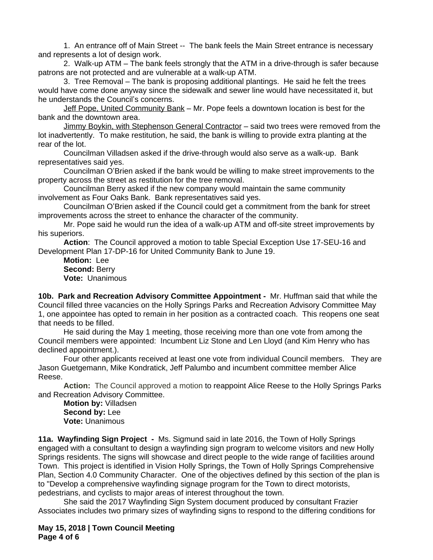1. An entrance off of Main Street -- The bank feels the Main Street entrance is necessary and represents a lot of design work.

2. Walk-up ATM – The bank feels strongly that the ATM in a drive-through is safer because patrons are not protected and are vulnerable at a walk-up ATM.

3. Tree Removal – The bank is proposing additional plantings. He said he felt the trees would have come done anyway since the sidewalk and sewer line would have necessitated it, but he understands the Council's concerns.

Jeff Pope, United Community Bank – Mr. Pope feels a downtown location is best for the bank and the downtown area.

Jimmy Boykin, with Stephenson General Contractor – said two trees were removed from the lot inadvertently. To make restitution, he said, the bank is willing to provide extra planting at the rear of the lot.

Councilman Villadsen asked if the drive-through would also serve as a walk-up. Bank representatives said yes.

Councilman O'Brien asked if the bank would be willing to make street improvements to the property across the street as restitution for the tree removal.

Councilman Berry asked if the new company would maintain the same community involvement as Four Oaks Bank. Bank representatives said yes.

Councilman O'Brien asked if the Council could get a commitment from the bank for street improvements across the street to enhance the character of the community.

Mr. Pope said he would run the idea of a walk-up ATM and off-site street improvements by his superiors.

**Action**: The Council approved a motion to table Special Exception Use 17-SEU-16 and Development Plan 17-DP-16 for United Community Bank to June 19.

**Motion:** Lee **Second:** Berry **Vote:** Unanimous

**10b. Park and Recreation Advisory Committee Appointment -** Mr. Huffman said that while the Council filled three vacancies on the Holly Springs Parks and Recreation Advisory Committee May 1, one appointee has opted to remain in her position as a contracted coach. This reopens one seat that needs to be filled.

He said during the May 1 meeting, those receiving more than one vote from among the Council members were appointed: Incumbent Liz Stone and Len Lloyd (and Kim Henry who has declined appointment.).

Four other applicants received at least one vote from individual Council members. They are Jason Guetgemann, Mike Kondratick, Jeff Palumbo and incumbent committee member Alice Reese.

**Action:** The Council approved a motion to reappoint Alice Reese to the Holly Springs Parks and Recreation Advisory Committee.

**Motion by:** Villadsen **Second by:** Lee **Vote:** Unanimous

**11a. Wayfinding Sign Project -** Ms. Sigmund said in late 2016, the Town of Holly Springs engaged with a consultant to design a wayfinding sign program to welcome visitors and new Holly Springs residents. The signs will showcase and direct people to the wide range of facilities around Town. This project is identified in Vision Holly Springs, the Town of Holly Springs Comprehensive Plan, Section 4.0 Community Character. One of the objectives defined by this section of the plan is to "Develop a comprehensive wayfinding signage program for the Town to direct motorists, pedestrians, and cyclists to major areas of interest throughout the town.

She said the 2017 Wayfinding Sign System document produced by consultant Frazier Associates includes two primary sizes of wayfinding signs to respond to the differing conditions for

**May 15, 2018 | Town Council Meeting Page 4 of 6**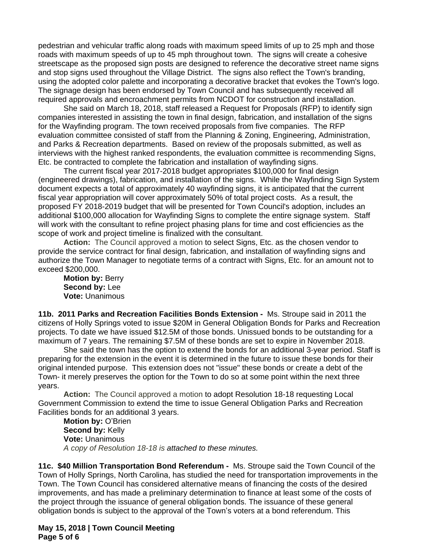pedestrian and vehicular traffic along roads with maximum speed limits of up to 25 mph and those roads with maximum speeds of up to 45 mph throughout town. The signs will create a cohesive streetscape as the proposed sign posts are designed to reference the decorative street name signs and stop signs used throughout the Village District. The signs also reflect the Town's branding, using the adopted color palette and incorporating a decorative bracket that evokes the Town's logo. The signage design has been endorsed by Town Council and has subsequently received all required approvals and encroachment permits from NCDOT for construction and installation.

She said on March 18, 2018, staff released a Request for Proposals (RFP) to identify sign companies interested in assisting the town in final design, fabrication, and installation of the signs for the Wayfinding program. The town received proposals from five companies. The RFP evaluation committee consisted of staff from the Planning & Zoning, Engineering, Administration, and Parks & Recreation departments. Based on review of the proposals submitted, as well as interviews with the highest ranked respondents, the evaluation committee is recommending Signs, Etc. be contracted to complete the fabrication and installation of wayfinding signs.

The current fiscal year 2017-2018 budget appropriates \$100,000 for final design (engineered drawings), fabrication, and installation of the signs. While the Wayfinding Sign System document expects a total of approximately 40 wayfinding signs, it is anticipated that the current fiscal year appropriation will cover approximately 50% of total project costs. As a result, the proposed FY 2018-2019 budget that will be presented for Town Council's adoption, includes an additional \$100,000 allocation for Wayfinding Signs to complete the entire signage system. Staff will work with the consultant to refine project phasing plans for time and cost efficiencies as the scope of work and project timeline is finalized with the consultant.

**Action:** The Council approved a motion to select Signs, Etc. as the chosen vendor to provide the service contract for final design, fabrication, and installation of wayfinding signs and authorize the Town Manager to negotiate terms of a contract with Signs, Etc. for an amount not to exceed \$200,000.

**Motion by:** Berry **Second by:** Lee **Vote:** Unanimous

**11b. 2011 Parks and Recreation Facilities Bonds Extension -** Ms. Stroupe said in 2011 the citizens of Holly Springs voted to issue \$20M in General Obligation Bonds for Parks and Recreation projects. To date we have issued \$12.5M of those bonds. Unissued bonds to be outstanding for a maximum of 7 years. The remaining \$7.5M of these bonds are set to expire in November 2018.

She said the town has the option to extend the bonds for an additional 3-year period. Staff is preparing for the extension in the event it is determined in the future to issue these bonds for their original intended purpose. This extension does not "issue" these bonds or create a debt of the Town- it merely preserves the option for the Town to do so at some point within the next three years.

**Action:** The Council approved a motion to adopt Resolution 18-18 requesting Local Government Commission to extend the time to issue General Obligation Parks and Recreation Facilities bonds for an additional 3 years.

**Motion by:** O'Brien **Second by:** Kelly **Vote:** Unanimous *A copy of Resolution 18-18 is attached to these minutes.*

**11c. \$40 Million Transportation Bond Referendum -** Ms. Stroupe said the Town Council of the Town of Holly Springs, North Carolina, has studied the need for transportation improvements in the Town. The Town Council has considered alternative means of financing the costs of the desired improvements, and has made a preliminary determination to finance at least some of the costs of the project through the issuance of general obligation bonds. The issuance of these general obligation bonds is subject to the approval of the Town's voters at a bond referendum. This

**May 15, 2018 | Town Council Meeting Page 5 of 6**